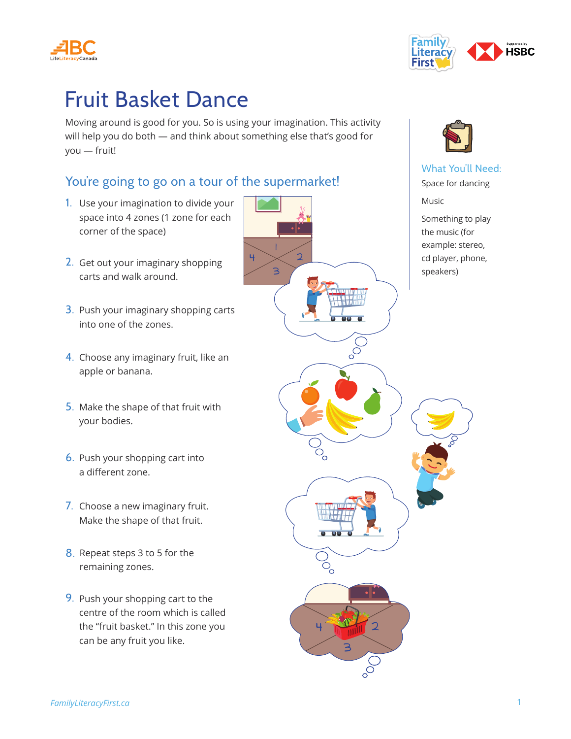



## Fruit Basket Dance

Moving around is good for you. So is using your imagination. This activity will help you do both — and think about something else that's good for you — fruit!

|<br>|

3

4

## You're going to go on a tour of the supermarket!

- 1. Use your imagination to divide your space into 4 zones (1 zone for each corner of the space)
- 2. Get out your imaginary shopping carts and walk around.
- 3. Push your imaginary shopping carts into one of the zones.
- 4. Choose any imaginary fruit, like an apple or banana.
- 5. Make the shape of that fruit with your bodies.
- 6. Push your shopping cart into a different zone.
- 7. Choose a new imaginary fruit. Make the shape of that fruit.
- 8. Repeat steps 3 to 5 for the remaining zones.
- 9. Push your shopping cart to the centre of the room which is called the "fruit basket." In this zone you can be any fruit you like.



3

 $\epsilon$